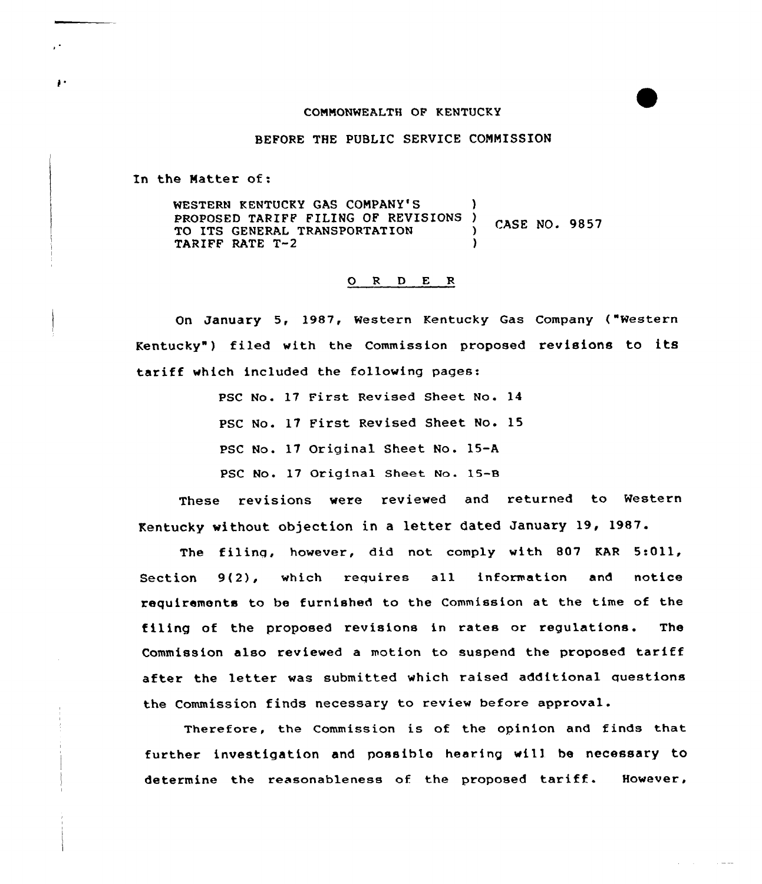## COMMONWEALTH OF KENTUCKY

BEFORE THE PUBLIC SERVICE COMMISSION

In the Matter of:

WESTERN KENTUCKY GAS COMPANY'S PROPOSED TARIFF FILING OF REVISIONS ) CASE NO. 9857 TO ITS GENERAL TRANSPORTATION (3) TARIFF RATE T-2

## 0 <sup>R</sup> <sup>D</sup> E <sup>R</sup>

On January 5, 1987, Western Kentucky Gas Company ("Western Kentucky") filed with the Commission proposed revisions to its tariff which included the following pages:

> PSC No. 17 First Revised Sheet No. 14 PSC No. 17 First Revised Sheet No. 15 PSC No. 17 Original Sheet No. 15-A PSC No. 17 Original Sheet No. 15-8

These revisions were reviewed and returned to Western Kentucky without objection in a letter dated January 19, 1987.

The filing, however, did not comply with 807 KAR 5:Oll, Section 9(2), which requires all information and notice requirements to be furnished to the Commission at the time of the filing of the proposed revisions in rates or regulations. The Commission also reviewed <sup>a</sup> motion to suspend the proposed tariff after the letter was submitted which raised additional questions the Commission finds necessary to review before approval.

Therefore, the Commission is of the opinion and finds that further investigation and possible hearing wil) be necessary to determine the reasonableness of the proposed tariff. However,

 $\sim$   $\sim$   $\sim$ 

 $\mathbf{P}$